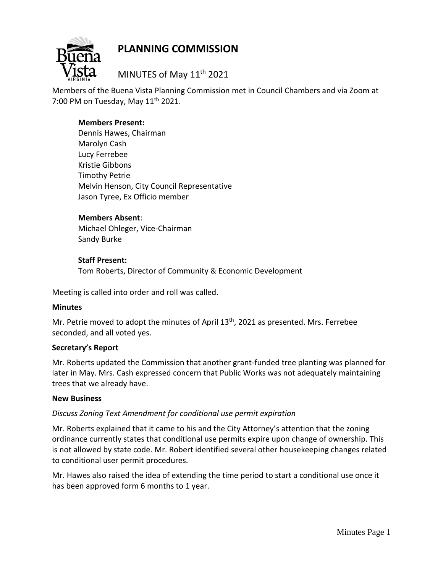

# **PLANNING COMMISSION**

MINUTES of May 11<sup>th</sup> 2021

Members of the Buena Vista Planning Commission met in Council Chambers and via Zoom at 7:00 PM on Tuesday, May  $11<sup>th</sup>$  2021.

## **Members Present:**

Dennis Hawes, Chairman Marolyn Cash Lucy Ferrebee Kristie Gibbons Timothy Petrie Melvin Henson, City Council Representative Jason Tyree, Ex Officio member

#### **Members Absent**:

Michael Ohleger, Vice-Chairman Sandy Burke

### **Staff Present:**

Tom Roberts, Director of Community & Economic Development

Meeting is called into order and roll was called.

#### **Minutes**

Mr. Petrie moved to adopt the minutes of April 13<sup>th</sup>, 2021 as presented. Mrs. Ferrebee seconded, and all voted yes.

## **Secretary's Report**

Mr. Roberts updated the Commission that another grant-funded tree planting was planned for later in May. Mrs. Cash expressed concern that Public Works was not adequately maintaining trees that we already have.

#### **New Business**

## *Discuss Zoning Text Amendment for conditional use permit expiration*

Mr. Roberts explained that it came to his and the City Attorney's attention that the zoning ordinance currently states that conditional use permits expire upon change of ownership. This is not allowed by state code. Mr. Robert identified several other housekeeping changes related to conditional user permit procedures.

Mr. Hawes also raised the idea of extending the time period to start a conditional use once it has been approved form 6 months to 1 year.